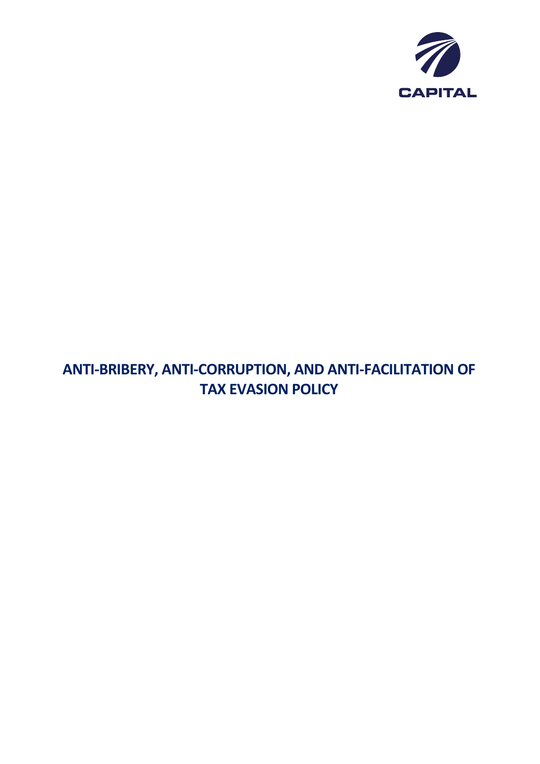

# **ANTI-BRIBERY, ANTI-CORRUPTION, AND ANTI-FACILITATION OF TAX EVASION POLICY**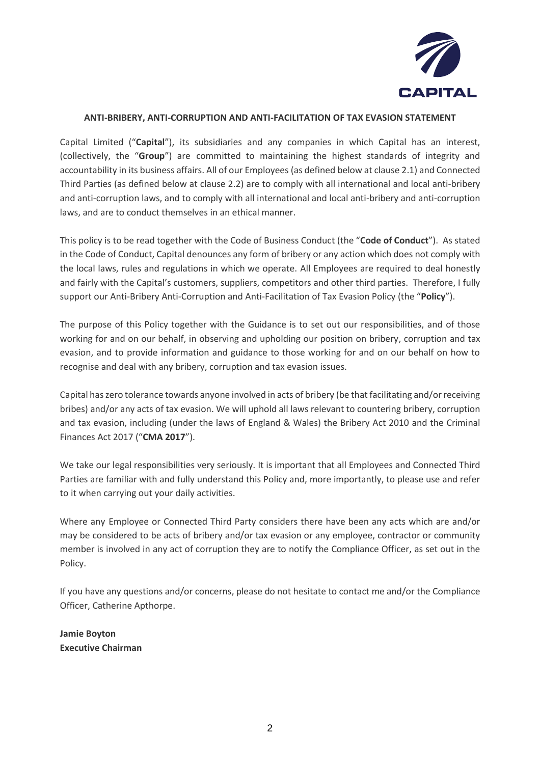

# **ANTI-BRIBERY, ANTI-CORRUPTION AND ANTI-FACILITATION OF TAX EVASION STATEMENT**

Capital Limited ("**Capital**"), its subsidiaries and any companies in which Capital has an interest, (collectively, the "**Group**") are committed to maintaining the highest standards of integrity and accountability in its business affairs. All of our Employees (as defined below at clause 2.1) and Connected Third Parties (as defined below at clause 2.2) are to comply with all international and local anti-bribery and anti-corruption laws, and to comply with all international and local anti-bribery and anti-corruption laws, and are to conduct themselves in an ethical manner.

This policy is to be read together with the Code of Business Conduct (the "**Code of Conduct**"). As stated in the Code of Conduct, Capital denounces any form of bribery or any action which does not comply with the local laws, rules and regulations in which we operate. All Employees are required to deal honestly and fairly with the Capital's customers, suppliers, competitors and other third parties. Therefore, I fully support our Anti-Bribery Anti-Corruption and Anti-Facilitation of Tax Evasion Policy (the "**Policy**").

The purpose of this Policy together with the Guidance is to set out our responsibilities, and of those working for and on our behalf, in observing and upholding our position on bribery, corruption and tax evasion, and to provide information and guidance to those working for and on our behalf on how to recognise and deal with any bribery, corruption and tax evasion issues.

Capital has zero tolerance towards anyone involved in acts of bribery (be that facilitating and/or receiving bribes) and/or any acts of tax evasion. We will uphold all laws relevant to countering bribery, corruption and tax evasion, including (under the laws of England & Wales) the Bribery Act 2010 and the Criminal Finances Act 2017 ("**CMA 2017**").

We take our legal responsibilities very seriously. It is important that all Employees and Connected Third Parties are familiar with and fully understand this Policy and, more importantly, to please use and refer to it when carrying out your daily activities.

Where any Employee or Connected Third Party considers there have been any acts which are and/or may be considered to be acts of bribery and/or tax evasion or any employee, contractor or community member is involved in any act of corruption they are to notify the Compliance Officer, as set out in the Policy.

If you have any questions and/or concerns, please do not hesitate to contact me and/or the Compliance Officer, Catherine Apthorpe.

**Jamie Boyton Executive Chairman**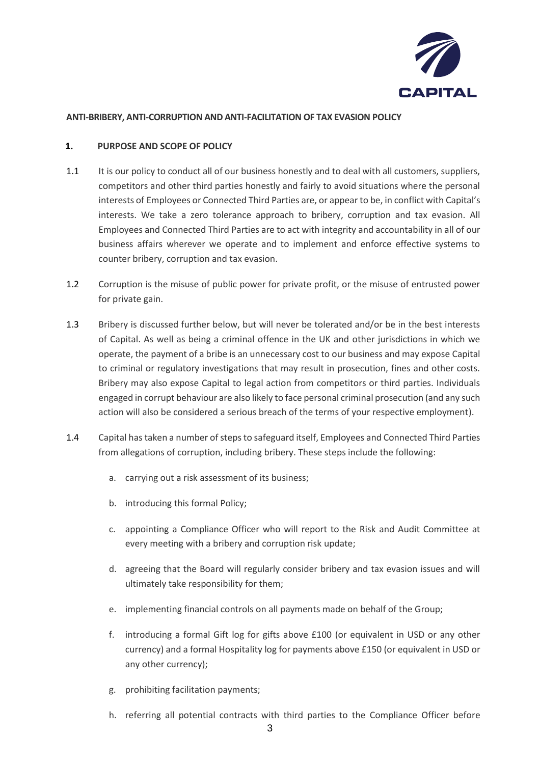

## **ANTI-BRIBERY, ANTI-CORRUPTION AND ANTI-FACILITATION OF TAX EVASION POLICY**

#### **1. PURPOSE AND SCOPE OF POLICY**

- 1.1 It is our policy to conduct all of our business honestly and to deal with all customers, suppliers, competitors and other third parties honestly and fairly to avoid situations where the personal interests of Employees or Connected Third Parties are, or appear to be, in conflict with Capital's interests. We take a zero tolerance approach to bribery, corruption and tax evasion. All Employees and Connected Third Parties are to act with integrity and accountability in all of our business affairs wherever we operate and to implement and enforce effective systems to counter bribery, corruption and tax evasion.
- 1.2 Corruption is the misuse of public power for private profit, or the misuse of entrusted power for private gain.
- 1.3 Bribery is discussed further below, but will never be tolerated and/or be in the best interests of Capital. As well as being a criminal offence in the UK and other jurisdictions in which we operate, the payment of a bribe is an unnecessary cost to our business and may expose Capital to criminal or regulatory investigations that may result in prosecution, fines and other costs. Bribery may also expose Capital to legal action from competitors or third parties. Individuals engaged in corrupt behaviour are also likely to face personal criminal prosecution (and any such action will also be considered a serious breach of the terms of your respective employment).
- 1.4 Capital has taken a number of steps to safeguard itself, Employees and Connected Third Parties from allegations of corruption, including bribery. These steps include the following:
	- a. carrying out a risk assessment of its business;
	- b. introducing this formal Policy;
	- c. appointing a Compliance Officer who will report to the Risk and Audit Committee at every meeting with a bribery and corruption risk update;
	- d. agreeing that the Board will regularly consider bribery and tax evasion issues and will ultimately take responsibility for them;
	- e. implementing financial controls on all payments made on behalf of the Group;
	- f. introducing a formal Gift log for gifts above £100 (or equivalent in USD or any other currency) and a formal Hospitality log for payments above £150 (or equivalent in USD or any other currency);
	- g. prohibiting facilitation payments;
	- h. referring all potential contracts with third parties to the Compliance Officer before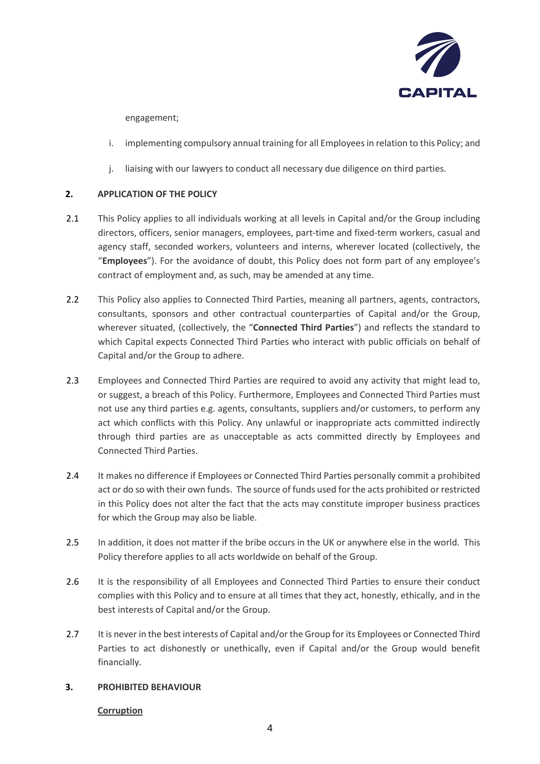

engagement;

- i. implementing compulsory annual training for all Employeesin relation to this Policy; and
- j. liaising with our lawyers to conduct all necessary due diligence on third parties.

# **2. APPLICATION OF THE POLICY**

- 2.1 This Policy applies to all individuals working at all levels in Capital and/or the Group including directors, officers, senior managers, employees, part-time and fixed-term workers, casual and agency staff, seconded workers, volunteers and interns, wherever located (collectively, the "**Employees**"). For the avoidance of doubt, this Policy does not form part of any employee's contract of employment and, as such, may be amended at any time.
- 2.2 This Policy also applies to Connected Third Parties, meaning all partners, agents, contractors, consultants, sponsors and other contractual counterparties of Capital and/or the Group, wherever situated, (collectively, the "**Connected Third Parties**") and reflects the standard to which Capital expects Connected Third Parties who interact with public officials on behalf of Capital and/or the Group to adhere.
- 2.3 Employees and Connected Third Parties are required to avoid any activity that might lead to, or suggest, a breach of this Policy. Furthermore, Employees and Connected Third Parties must not use any third parties e.g. agents, consultants, suppliers and/or customers, to perform any act which conflicts with this Policy. Any unlawful or inappropriate acts committed indirectly through third parties are as unacceptable as acts committed directly by Employees and Connected Third Parties.
- 2.4 It makes no difference if Employees or Connected Third Parties personally commit a prohibited act or do so with their own funds. The source of funds used for the acts prohibited or restricted in this Policy does not alter the fact that the acts may constitute improper business practices for which the Group may also be liable.
- 2.5 In addition, it does not matter if the bribe occurs in the UK or anywhere else in the world. This Policy therefore applies to all acts worldwide on behalf of the Group.
- 2.6 It is the responsibility of all Employees and Connected Third Parties to ensure their conduct complies with this Policy and to ensure at all times that they act, honestly, ethically, and in the best interests of Capital and/or the Group.
- 2.7 It is never in the best interests of Capital and/or the Group for its Employees or Connected Third Parties to act dishonestly or unethically, even if Capital and/or the Group would benefit financially.

## **3. PROHIBITED BEHAVIOUR**

## **Corruption**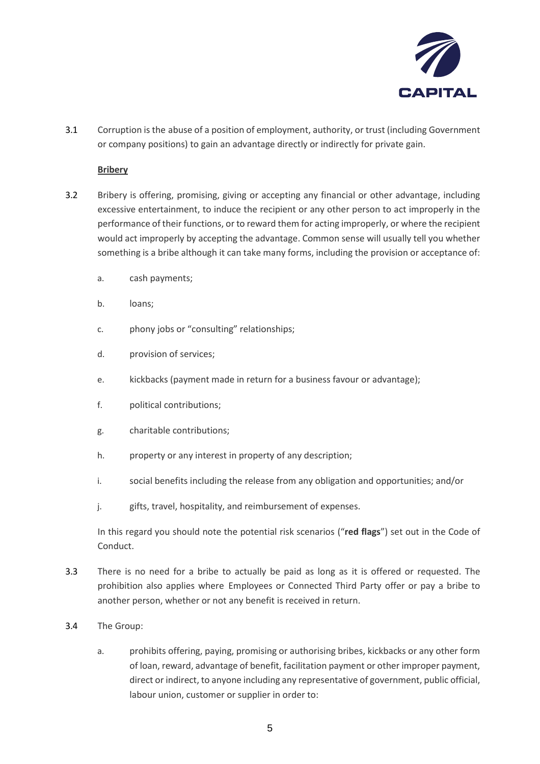

3.1 Corruption is the abuse of a position of employment, authority, or trust (including Government or company positions) to gain an advantage directly or indirectly for private gain.

# **Bribery**

- 3.2 Bribery is offering, promising, giving or accepting any financial or other advantage, including excessive entertainment, to induce the recipient or any other person to act improperly in the performance of their functions, or to reward them for acting improperly, or where the recipient would act improperly by accepting the advantage. Common sense will usually tell you whether something is a bribe although it can take many forms, including the provision or acceptance of:
	- a. cash payments;
	- b. loans;
	- c. phony jobs or "consulting" relationships;
	- d. provision of services;
	- e. kickbacks (payment made in return for a business favour or advantage);
	- f. political contributions;
	- g. charitable contributions;
	- h. property or any interest in property of any description;
	- i. social benefits including the release from any obligation and opportunities; and/or
	- j. gifts, travel, hospitality, and reimbursement of expenses.

In this regard you should note the potential risk scenarios ("**red flags**") set out in the Code of Conduct.

- 3.3 There is no need for a bribe to actually be paid as long as it is offered or requested. The prohibition also applies where Employees or Connected Third Party offer or pay a bribe to another person, whether or not any benefit is received in return.
- 3.4 The Group:
	- a. prohibits offering, paying, promising or authorising bribes, kickbacks or any other form of loan, reward, advantage of benefit, facilitation payment or other improper payment, direct or indirect, to anyone including any representative of government, public official, labour union, customer or supplier in order to: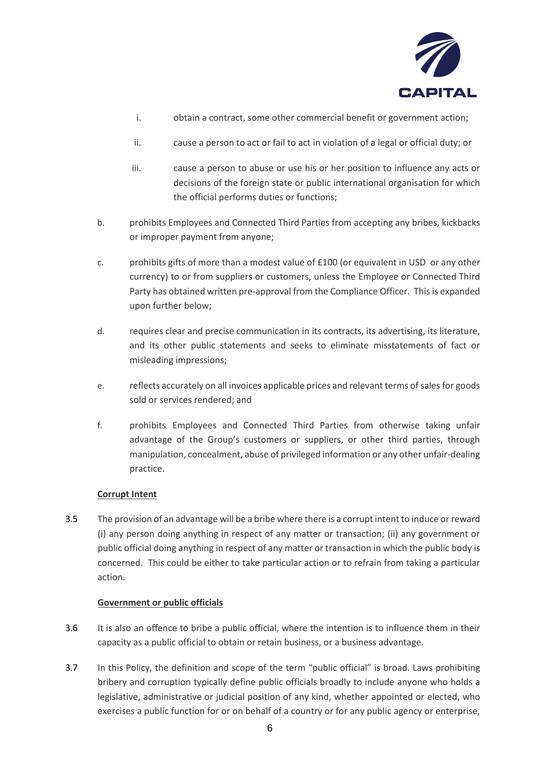

- i. obtain a contract, some other commercial benefit or government action;
- ii. cause a person to act or fail to act in violation of a legal or official duty; or
- iii. cause a person to abuse or use his or her position to influence any acts or decisions of the foreign state or public international organisation for which the official performs duties or functions;
- b. prohibits Employees and Connected Third Parties from accepting any bribes, kickbacks or improper payment from anyone;
- c. prohibits gifts of more than a modest value of £100 (or equivalent in USD or any other currency) to or from suppliers or customers, unless the Employee or Connected Third Party has obtained written pre-approval from the Compliance Officer. This is expanded upon further below;
- d. requires clear and precise communication in its contracts, its advertising, its literature, and its other public statements and seeks to eliminate misstatements of fact or misleading impressions;
- e. reflects accurately on all invoices applicable prices and relevant terms of sales for goods sold or services rendered; and
- f. prohibits Employees and Connected Third Parties from otherwise taking unfair advantage of the Group's customers or suppliers, or other third parties, through manipulation, concealment, abuse of privileged information or any other unfair-dealing practice.

# **Corrupt Intent**

3.5 The provision of an advantage will be a bribe where there is a corrupt intent to induce or reward (i) any person doing anything in respect of any matter or transaction; (ii) any government or public official doing anything in respect of any matter or transaction in which the public body is concerned. This could be either to take particular action or to refrain from taking a particular action.

# **Government or public officials**

- 3.6 It is also an offence to bribe a public official, where the intention is to influence them in their capacity as a public official to obtain or retain business, or a business advantage.
- 3.7 In this Policy, the definition and scope of the term "public official" is broad. Laws prohibiting bribery and corruption typically define public officials broadly to include anyone who holds a legislative, administrative or judicial position of any kind, whether appointed or elected, who exercises a public function for or on behalf of a country or for any public agency or enterprise,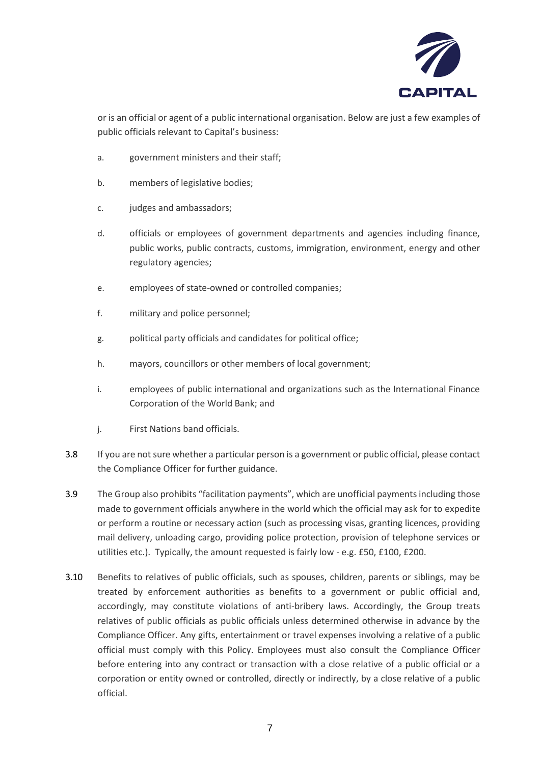

or is an official or agent of a public international organisation. Below are just a few examples of public officials relevant to Capital's business:

- a. government ministers and their staff;
- b. members of legislative bodies;
- c. judges and ambassadors;
- d. officials or employees of government departments and agencies including finance, public works, public contracts, customs, immigration, environment, energy and other regulatory agencies;
- e. employees of state-owned or controlled companies;
- f. military and police personnel;
- g. political party officials and candidates for political office;
- h. mayors, councillors or other members of local government;
- i. employees of public international and organizations such as the International Finance Corporation of the World Bank; and
- j. First Nations band officials.
- 3.8 If you are not sure whether a particular person is a government or public official, please contact the Compliance Officer for further guidance.
- 3.9 The Group also prohibits "facilitation payments", which are unofficial payments including those made to government officials anywhere in the world which the official may ask for to expedite or perform a routine or necessary action (such as processing visas, granting licences, providing mail delivery, unloading cargo, providing police protection, provision of telephone services or utilities etc.). Typically, the amount requested is fairly low - e.g. £50, £100, £200.
- 3.10 Benefits to relatives of public officials, such as spouses, children, parents or siblings, may be treated by enforcement authorities as benefits to a government or public official and, accordingly, may constitute violations of anti-bribery laws. Accordingly, the Group treats relatives of public officials as public officials unless determined otherwise in advance by the Compliance Officer. Any gifts, entertainment or travel expenses involving a relative of a public official must comply with this Policy. Employees must also consult the Compliance Officer before entering into any contract or transaction with a close relative of a public official or a corporation or entity owned or controlled, directly or indirectly, by a close relative of a public official.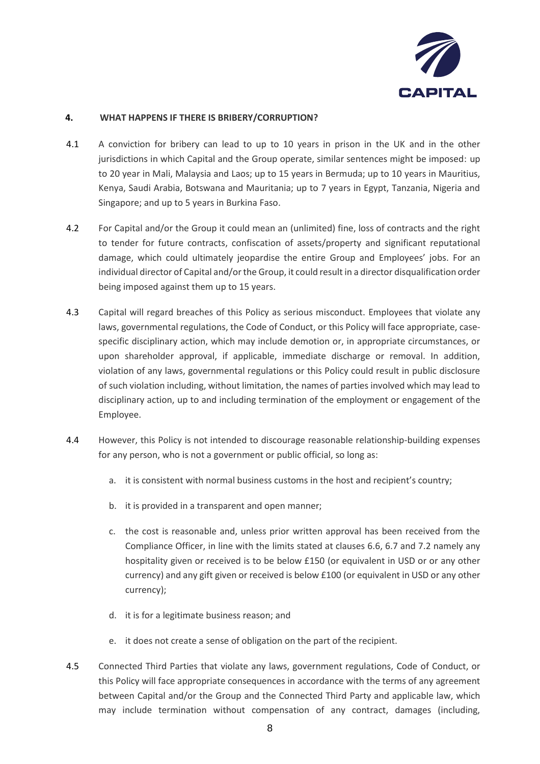

# **4. WHAT HAPPENS IF THERE IS BRIBERY/CORRUPTION?**

- 4.1 A conviction for bribery can lead to up to 10 years in prison in the UK and in the other jurisdictions in which Capital and the Group operate, similar sentences might be imposed: up to 20 year in Mali, Malaysia and Laos; up to 15 years in Bermuda; up to 10 years in Mauritius, Kenya, Saudi Arabia, Botswana and Mauritania; up to 7 years in Egypt, Tanzania, Nigeria and Singapore; and up to 5 years in Burkina Faso.
- 4.2 For Capital and/or the Group it could mean an (unlimited) fine, loss of contracts and the right to tender for future contracts, confiscation of assets/property and significant reputational damage, which could ultimately jeopardise the entire Group and Employees' jobs. For an individual director of Capital and/or the Group, it could result in a director disqualification order being imposed against them up to 15 years.
- 4.3 Capital will regard breaches of this Policy as serious misconduct. Employees that violate any laws, governmental regulations, the Code of Conduct, or this Policy will face appropriate, casespecific disciplinary action, which may include demotion or, in appropriate circumstances, or upon shareholder approval, if applicable, immediate discharge or removal. In addition, violation of any laws, governmental regulations or this Policy could result in public disclosure of such violation including, without limitation, the names of parties involved which may lead to disciplinary action, up to and including termination of the employment or engagement of the Employee.
- 4.4 However, this Policy is not intended to discourage reasonable relationship-building expenses for any person, who is not a government or public official, so long as:
	- a. it is consistent with normal business customs in the host and recipient's country;
	- b. it is provided in a transparent and open manner;
	- c. the cost is reasonable and, unless prior written approval has been received from the Compliance Officer, in line with the limits stated at clauses 6.6, 6.7 and 7.2 namely any hospitality given or received is to be below £150 (or equivalent in USD or or any other currency) and any gift given or received is below £100 (or equivalent in USD or any other currency);
	- d. it is for a legitimate business reason; and
	- e. it does not create a sense of obligation on the part of the recipient.
- 4.5 Connected Third Parties that violate any laws, government regulations, Code of Conduct, or this Policy will face appropriate consequences in accordance with the terms of any agreement between Capital and/or the Group and the Connected Third Party and applicable law, which may include termination without compensation of any contract, damages (including,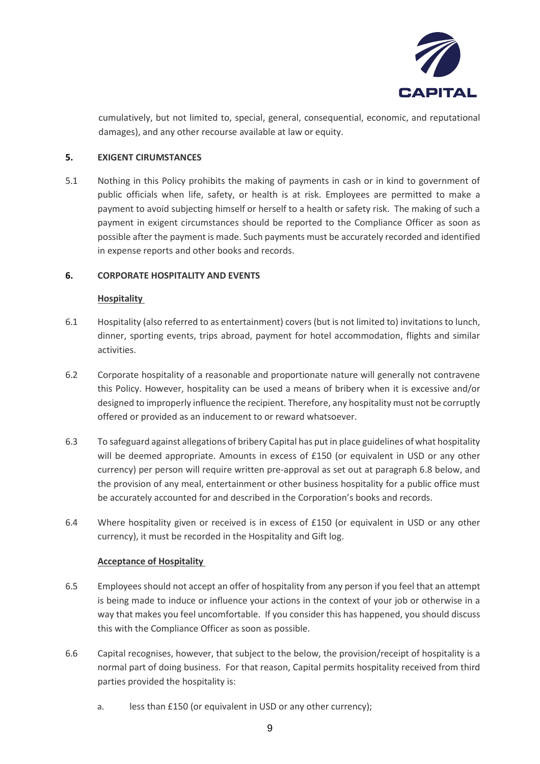

cumulatively, but not limited to, special, general, consequential, economic, and reputational damages), and any other recourse available at law or equity.

# **5. EXIGENT CIRUMSTANCES**

5.1 Nothing in this Policy prohibits the making of payments in cash or in kind to government of public officials when life, safety, or health is at risk. Employees are permitted to make a payment to avoid subjecting himself or herself to a health or safety risk. The making of such a payment in exigent circumstances should be reported to the Compliance Officer as soon as possible after the payment is made. Such payments must be accurately recorded and identified in expense reports and other books and records.

# **6. CORPORATE HOSPITALITY AND EVENTS**

# **Hospitality**

- 6.1 Hospitality (also referred to as entertainment) covers (but is not limited to) invitations to lunch, dinner, sporting events, trips abroad, payment for hotel accommodation, flights and similar activities.
- 6.2 Corporate hospitality of a reasonable and proportionate nature will generally not contravene this Policy. However, hospitality can be used a means of bribery when it is excessive and/or designed to improperly influence the recipient. Therefore, any hospitality must not be corruptly offered or provided as an inducement to or reward whatsoever.
- 6.3 To safeguard against allegations of bribery Capital has put in place guidelines of what hospitality will be deemed appropriate. Amounts in excess of £150 (or equivalent in USD or any other currency) per person will require written pre-approval as set out at paragraph 6.8 below, and the provision of any meal, entertainment or other business hospitality for a public office must be accurately accounted for and described in the Corporation's books and records.
- 6.4 Where hospitality given or received is in excess of £150 (or equivalent in USD or any other currency), it must be recorded in the Hospitality and Gift log.

# **Acceptance of Hospitality**

- 6.5 Employees should not accept an offer of hospitality from any person if you feel that an attempt is being made to induce or influence your actions in the context of your job or otherwise in a way that makes you feel uncomfortable. If you consider this has happened, you should discuss this with the Compliance Officer as soon as possible.
- 6.6 Capital recognises, however, that subject to the below, the provision/receipt of hospitality is a normal part of doing business. For that reason, Capital permits hospitality received from third parties provided the hospitality is:
	- a. less than £150 (or equivalent in USD or any other currency);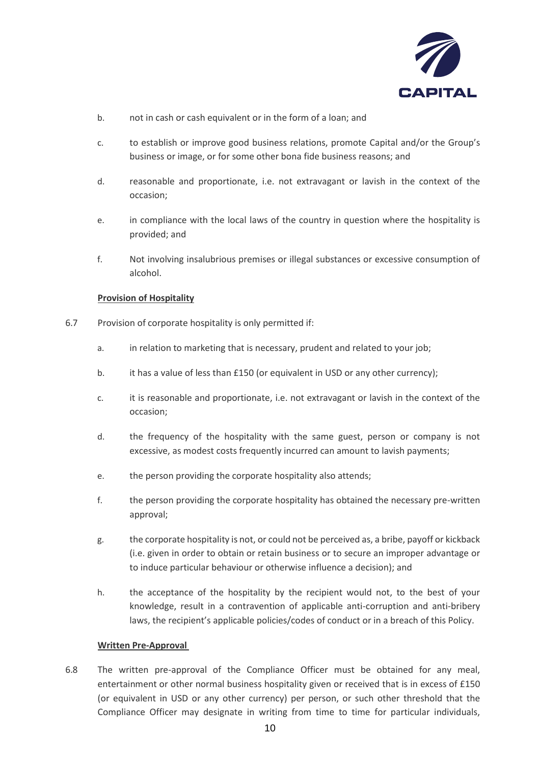

- b. not in cash or cash equivalent or in the form of a loan; and
- c. to establish or improve good business relations, promote Capital and/or the Group's business or image, or for some other bona fide business reasons; and
- d. reasonable and proportionate, i.e. not extravagant or lavish in the context of the occasion;
- e. in compliance with the local laws of the country in question where the hospitality is provided; and
- f. Not involving insalubrious premises or illegal substances or excessive consumption of alcohol.

# **Provision of Hospitality**

- 6.7 Provision of corporate hospitality is only permitted if:
	- a. in relation to marketing that is necessary, prudent and related to your job;
	- b. it has a value of less than £150 (or equivalent in USD or any other currency);
	- c. it is reasonable and proportionate, i.e. not extravagant or lavish in the context of the occasion;
	- d. the frequency of the hospitality with the same guest, person or company is not excessive, as modest costs frequently incurred can amount to lavish payments;
	- e. the person providing the corporate hospitality also attends;
	- f. the person providing the corporate hospitality has obtained the necessary pre-written approval;
	- g. the corporate hospitality is not, or could not be perceived as, a bribe, payoff or kickback (i.e. given in order to obtain or retain business or to secure an improper advantage or to induce particular behaviour or otherwise influence a decision); and
	- h. the acceptance of the hospitality by the recipient would not, to the best of your knowledge, result in a contravention of applicable anti-corruption and anti-bribery laws, the recipient's applicable policies/codes of conduct or in a breach of this Policy.

## **Written Pre-Approval**

6.8 The written pre-approval of the Compliance Officer must be obtained for any meal, entertainment or other normal business hospitality given or received that is in excess of £150 (or equivalent in USD or any other currency) per person, or such other threshold that the Compliance Officer may designate in writing from time to time for particular individuals,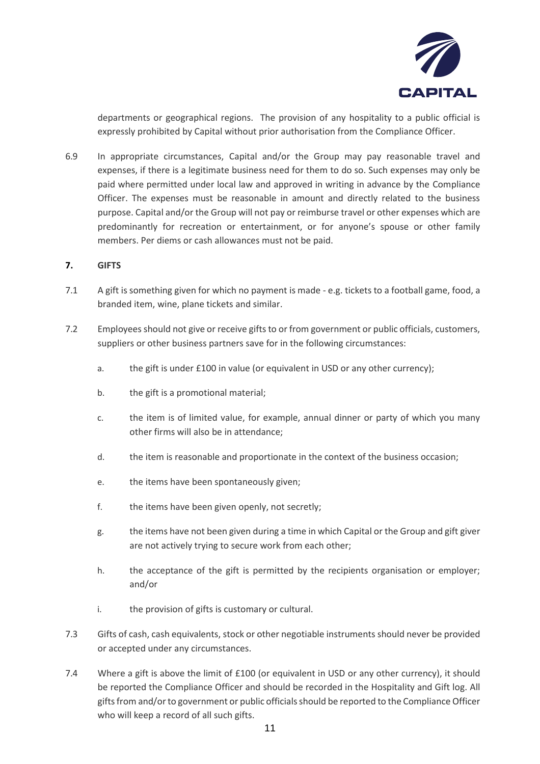

departments or geographical regions. The provision of any hospitality to a public official is expressly prohibited by Capital without prior authorisation from the Compliance Officer.

6.9 In appropriate circumstances, Capital and/or the Group may pay reasonable travel and expenses, if there is a legitimate business need for them to do so. Such expenses may only be paid where permitted under local law and approved in writing in advance by the Compliance Officer. The expenses must be reasonable in amount and directly related to the business purpose. Capital and/or the Group will not pay or reimburse travel or other expenses which are predominantly for recreation or entertainment, or for anyone's spouse or other family members. Per diems or cash allowances must not be paid.

# **7. GIFTS**

- 7.1 A gift is something given for which no payment is made e.g. tickets to a football game, food, a branded item, wine, plane tickets and similar.
- 7.2 Employees should not give or receive gifts to or from government or public officials, customers, suppliers or other business partners save for in the following circumstances:
	- a. the gift is under £100 in value (or equivalent in USD or any other currency);
	- b. the gift is a promotional material;
	- c. the item is of limited value, for example, annual dinner or party of which you many other firms will also be in attendance;
	- d. the item is reasonable and proportionate in the context of the business occasion;
	- e. the items have been spontaneously given;
	- f. the items have been given openly, not secretly;
	- g. the items have not been given during a time in which Capital or the Group and gift giver are not actively trying to secure work from each other;
	- h. the acceptance of the gift is permitted by the recipients organisation or employer; and/or
	- i. the provision of gifts is customary or cultural.
- 7.3 Gifts of cash, cash equivalents, stock or other negotiable instruments should never be provided or accepted under any circumstances.
- 7.4 Where a gift is above the limit of £100 (or equivalent in USD or any other currency), it should be reported the Compliance Officer and should be recorded in the Hospitality and Gift log. All gifts from and/or to government or public officials should be reported to the Compliance Officer who will keep a record of all such gifts.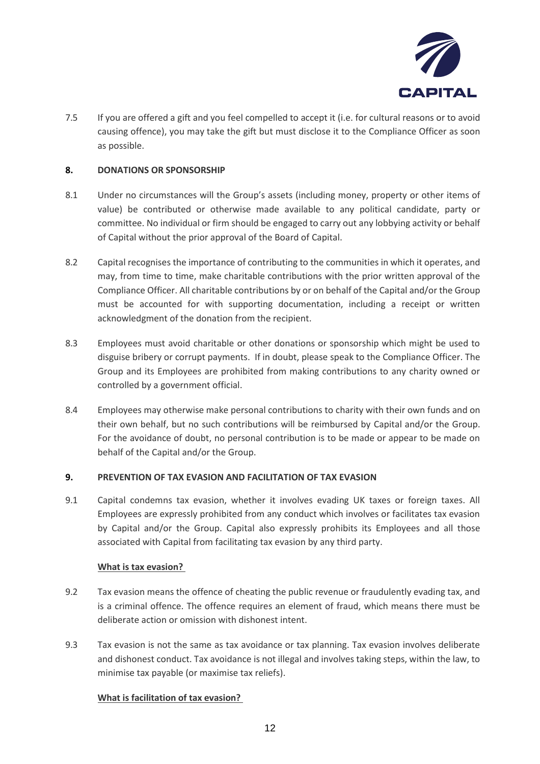

7.5 If you are offered a gift and you feel compelled to accept it (i.e. for cultural reasons or to avoid causing offence), you may take the gift but must disclose it to the Compliance Officer as soon as possible.

# **8. DONATIONS OR SPONSORSHIP**

- 8.1 Under no circumstances will the Group's assets (including money, property or other items of value) be contributed or otherwise made available to any political candidate, party or committee. No individual or firm should be engaged to carry out any lobbying activity or behalf of Capital without the prior approval of the Board of Capital.
- 8.2 Capital recognises the importance of contributing to the communities in which it operates, and may, from time to time, make charitable contributions with the prior written approval of the Compliance Officer. All charitable contributions by or on behalf of the Capital and/or the Group must be accounted for with supporting documentation, including a receipt or written acknowledgment of the donation from the recipient.
- 8.3 Employees must avoid charitable or other donations or sponsorship which might be used to disguise bribery or corrupt payments. If in doubt, please speak to the Compliance Officer. The Group and its Employees are prohibited from making contributions to any charity owned or controlled by a government official.
- 8.4 Employees may otherwise make personal contributions to charity with their own funds and on their own behalf, but no such contributions will be reimbursed by Capital and/or the Group. For the avoidance of doubt, no personal contribution is to be made or appear to be made on behalf of the Capital and/or the Group.

## **9. PREVENTION OF TAX EVASION AND FACILITATION OF TAX EVASION**

9.1 Capital condemns tax evasion, whether it involves evading UK taxes or foreign taxes. All Employees are expressly prohibited from any conduct which involves or facilitates tax evasion by Capital and/or the Group. Capital also expressly prohibits its Employees and all those associated with Capital from facilitating tax evasion by any third party.

## **What is tax evasion?**

- 9.2 Tax evasion means the offence of cheating the public revenue or fraudulently evading tax, and is a criminal offence. The offence requires an element of fraud, which means there must be deliberate action or omission with dishonest intent.
- 9.3 Tax evasion is not the same as tax avoidance or tax planning. Tax evasion involves deliberate and dishonest conduct. Tax avoidance is not illegal and involves taking steps, within the law, to minimise tax payable (or maximise tax reliefs).

# **What is facilitation of tax evasion?**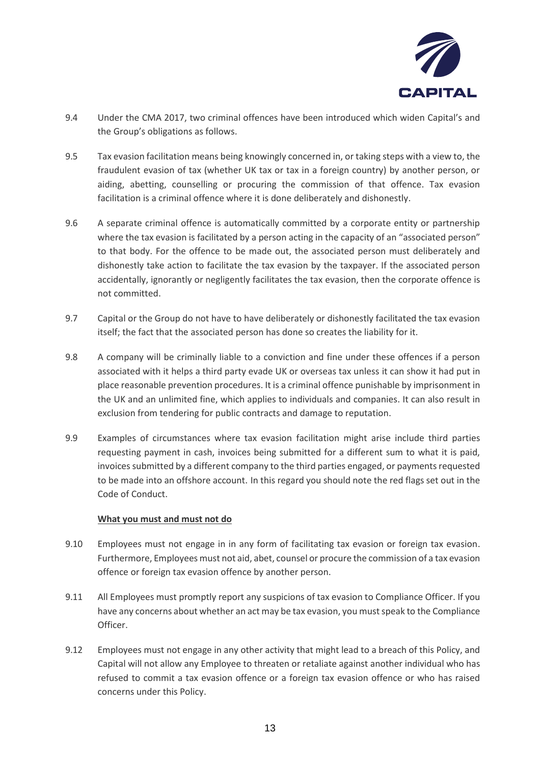

- 9.4 Under the CMA 2017, two criminal offences have been introduced which widen Capital's and the Group's obligations as follows.
- 9.5 Tax evasion facilitation means being knowingly concerned in, or taking steps with a view to, the fraudulent evasion of tax (whether UK tax or tax in a foreign country) by another person, or aiding, abetting, counselling or procuring the commission of that offence. Tax evasion facilitation is a criminal offence where it is done deliberately and dishonestly.
- 9.6 A separate criminal offence is automatically committed by a corporate entity or partnership where the tax evasion is facilitated by a person acting in the capacity of an "associated person" to that body. For the offence to be made out, the associated person must deliberately and dishonestly take action to facilitate the tax evasion by the taxpayer. If the associated person accidentally, ignorantly or negligently facilitates the tax evasion, then the corporate offence is not committed.
- 9.7 Capital or the Group do not have to have deliberately or dishonestly facilitated the tax evasion itself; the fact that the associated person has done so creates the liability for it.
- 9.8 A company will be criminally liable to a conviction and fine under these offences if a person associated with it helps a third party evade UK or overseas tax unless it can show it had put in place reasonable prevention procedures. It is a criminal offence punishable by imprisonment in the UK and an unlimited fine, which applies to individuals and companies. It can also result in exclusion from tendering for public contracts and damage to reputation.
- 9.9 Examples of circumstances where tax evasion facilitation might arise include third parties requesting payment in cash, invoices being submitted for a different sum to what it is paid, invoices submitted by a different company to the third parties engaged, or payments requested to be made into an offshore account. In this regard you should note the red flags set out in the Code of Conduct.

## **What you must and must not do**

- 9.10 Employees must not engage in in any form of facilitating tax evasion or foreign tax evasion. Furthermore, Employees must not aid, abet, counsel or procure the commission of a tax evasion offence or foreign tax evasion offence by another person.
- 9.11 All Employees must promptly report any suspicions of tax evasion to Compliance Officer. If you have any concerns about whether an act may be tax evasion, you must speak to the Compliance Officer.
- 9.12 Employees must not engage in any other activity that might lead to a breach of this Policy, and Capital will not allow any Employee to threaten or retaliate against another individual who has refused to commit a tax evasion offence or a foreign tax evasion offence or who has raised concerns under this Policy.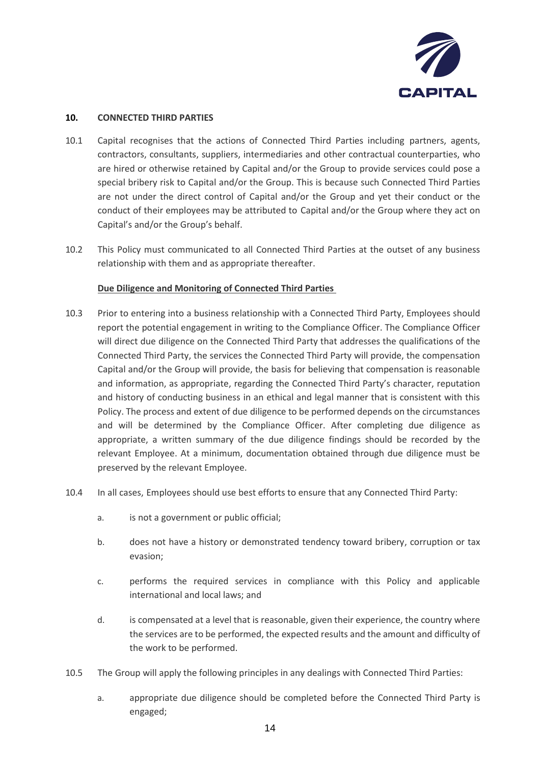

# **10. CONNECTED THIRD PARTIES**

- 10.1 Capital recognises that the actions of Connected Third Parties including partners, agents, contractors, consultants, suppliers, intermediaries and other contractual counterparties, who are hired or otherwise retained by Capital and/or the Group to provide services could pose a special bribery risk to Capital and/or the Group. This is because such Connected Third Parties are not under the direct control of Capital and/or the Group and yet their conduct or the conduct of their employees may be attributed to Capital and/or the Group where they act on Capital's and/or the Group's behalf.
- 10.2 This Policy must communicated to all Connected Third Parties at the outset of any business relationship with them and as appropriate thereafter.

# **Due Diligence and Monitoring of Connected Third Parties**

- 10.3 Prior to entering into a business relationship with a Connected Third Party, Employees should report the potential engagement in writing to the Compliance Officer. The Compliance Officer will direct due diligence on the Connected Third Party that addresses the qualifications of the Connected Third Party, the services the Connected Third Party will provide, the compensation Capital and/or the Group will provide, the basis for believing that compensation is reasonable and information, as appropriate, regarding the Connected Third Party's character, reputation and history of conducting business in an ethical and legal manner that is consistent with this Policy. The process and extent of due diligence to be performed depends on the circumstances and will be determined by the Compliance Officer. After completing due diligence as appropriate, a written summary of the due diligence findings should be recorded by the relevant Employee. At a minimum, documentation obtained through due diligence must be preserved by the relevant Employee.
- 10.4 In all cases, Employees should use best efforts to ensure that any Connected Third Party:
	- a. is not a government or public official;
	- b. does not have a history or demonstrated tendency toward bribery, corruption or tax evasion;
	- c. performs the required services in compliance with this Policy and applicable international and local laws; and
	- d. is compensated at a level that is reasonable, given their experience, the country where the services are to be performed, the expected results and the amount and difficulty of the work to be performed.
- 10.5 The Group will apply the following principles in any dealings with Connected Third Parties:
	- a. appropriate due diligence should be completed before the Connected Third Party is engaged;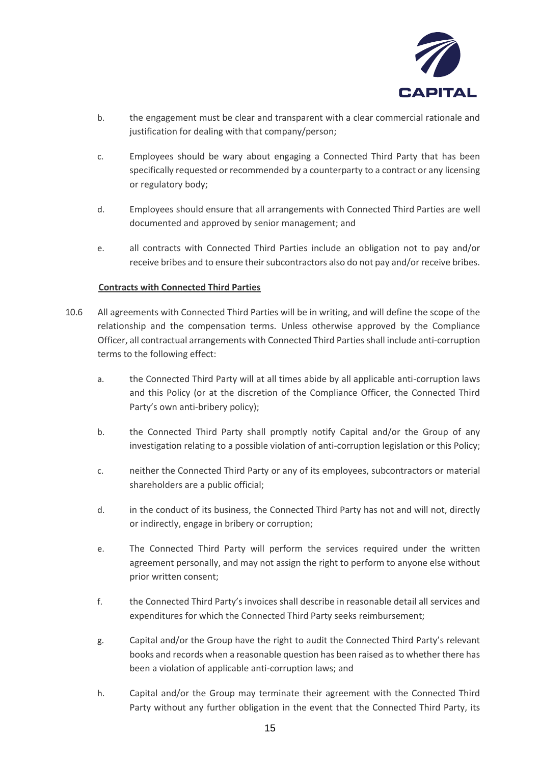

- b. the engagement must be clear and transparent with a clear commercial rationale and justification for dealing with that company/person;
- c. Employees should be wary about engaging a Connected Third Party that has been specifically requested or recommended by a counterparty to a contract or any licensing or regulatory body;
- d. Employees should ensure that all arrangements with Connected Third Parties are well documented and approved by senior management; and
- e. all contracts with Connected Third Parties include an obligation not to pay and/or receive bribes and to ensure their subcontractors also do not pay and/or receive bribes.

# **Contracts with Connected Third Parties**

- 10.6 All agreements with Connected Third Parties will be in writing, and will define the scope of the relationship and the compensation terms. Unless otherwise approved by the Compliance Officer, all contractual arrangements with Connected Third Parties shall include anti-corruption terms to the following effect:
	- a. the Connected Third Party will at all times abide by all applicable anti-corruption laws and this Policy (or at the discretion of the Compliance Officer, the Connected Third Party's own anti-bribery policy);
	- b. the Connected Third Party shall promptly notify Capital and/or the Group of any investigation relating to a possible violation of anti-corruption legislation or this Policy;
	- c. neither the Connected Third Party or any of its employees, subcontractors or material shareholders are a public official;
	- d. in the conduct of its business, the Connected Third Party has not and will not, directly or indirectly, engage in bribery or corruption;
	- e. The Connected Third Party will perform the services required under the written agreement personally, and may not assign the right to perform to anyone else without prior written consent;
	- f. the Connected Third Party's invoices shall describe in reasonable detail all services and expenditures for which the Connected Third Party seeks reimbursement;
	- g. Capital and/or the Group have the right to audit the Connected Third Party's relevant books and records when a reasonable question has been raised as to whether there has been a violation of applicable anti-corruption laws; and
	- h. Capital and/or the Group may terminate their agreement with the Connected Third Party without any further obligation in the event that the Connected Third Party, its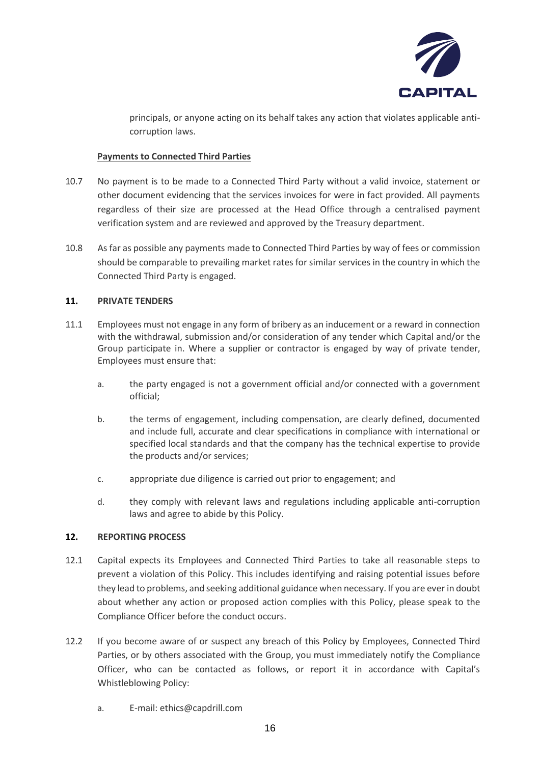

principals, or anyone acting on its behalf takes any action that violates applicable anticorruption laws.

# **Payments to Connected Third Parties**

- 10.7 No payment is to be made to a Connected Third Party without a valid invoice, statement or other document evidencing that the services invoices for were in fact provided. All payments regardless of their size are processed at the Head Office through a centralised payment verification system and are reviewed and approved by the Treasury department.
- 10.8 As far as possible any payments made to Connected Third Parties by way of fees or commission should be comparable to prevailing market rates for similar services in the country in which the Connected Third Party is engaged.

# **11. PRIVATE TENDERS**

- 11.1 Employees must not engage in any form of bribery as an inducement or a reward in connection with the withdrawal, submission and/or consideration of any tender which Capital and/or the Group participate in. Where a supplier or contractor is engaged by way of private tender, Employees must ensure that:
	- a. the party engaged is not a government official and/or connected with a government official;
	- b. the terms of engagement, including compensation, are clearly defined, documented and include full, accurate and clear specifications in compliance with international or specified local standards and that the company has the technical expertise to provide the products and/or services;
	- c. appropriate due diligence is carried out prior to engagement; and
	- d. they comply with relevant laws and regulations including applicable anti-corruption laws and agree to abide by this Policy.

## **12. REPORTING PROCESS**

- 12.1 Capital expects its Employees and Connected Third Parties to take all reasonable steps to prevent a violation of this Policy. This includes identifying and raising potential issues before they lead to problems, and seeking additional guidance when necessary. If you are ever in doubt about whether any action or proposed action complies with this Policy, please speak to the Compliance Officer before the conduct occurs.
- 12.2 If you become aware of or suspect any breach of this Policy by Employees, Connected Third Parties, or by others associated with the Group, you must immediately notify the Compliance Officer, who can be contacted as follows, or report it in accordance with Capital's Whistleblowing Policy:
	- a. E-mail: ethics@capdrill.com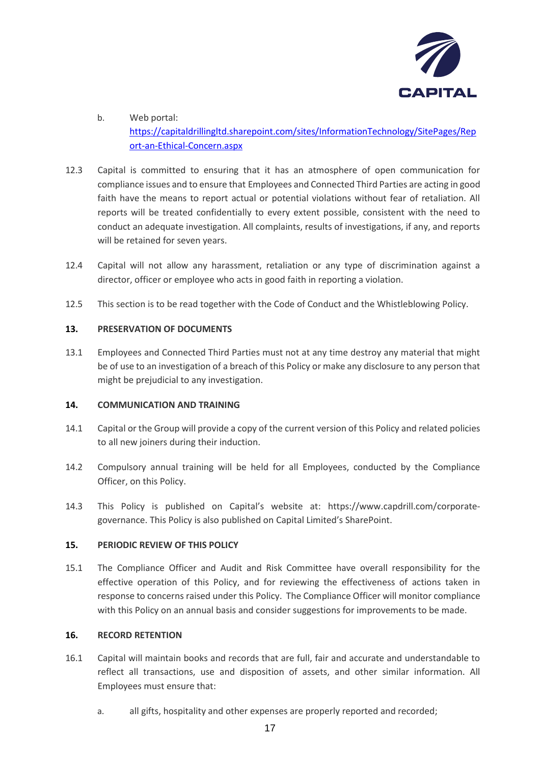

- b. Web portal: [https://capitaldrillingltd.sharepoint.com/sites/InformationTechnology/SitePages/Rep](https://capitaldrillingltd.sharepoint.com/sites/InformationTechnology/SitePages/Report-an-Ethical-Concern.aspx) [ort-an-Ethical-Concern.aspx](https://capitaldrillingltd.sharepoint.com/sites/InformationTechnology/SitePages/Report-an-Ethical-Concern.aspx)
- 12.3 Capital is committed to ensuring that it has an atmosphere of open communication for compliance issues and to ensure that Employees and Connected Third Parties are acting in good faith have the means to report actual or potential violations without fear of retaliation. All reports will be treated confidentially to every extent possible, consistent with the need to conduct an adequate investigation. All complaints, results of investigations, if any, and reports will be retained for seven years.
- 12.4 Capital will not allow any harassment, retaliation or any type of discrimination against a director, officer or employee who acts in good faith in reporting a violation.
- 12.5 This section is to be read together with the Code of Conduct and the Whistleblowing Policy.

# **13. PRESERVATION OF DOCUMENTS**

13.1 Employees and Connected Third Parties must not at any time destroy any material that might be of use to an investigation of a breach of this Policy or make any disclosure to any person that might be prejudicial to any investigation.

# **14. COMMUNICATION AND TRAINING**

- 14.1 Capital or the Group will provide a copy of the current version of this Policy and related policies to all new joiners during their induction.
- 14.2 Compulsory annual training will be held for all Employees, conducted by the Compliance Officer, on this Policy.
- 14.3 This Policy is published on Capital's website at: https://www.capdrill.com/corporategovernance. This Policy is also published on Capital Limited's SharePoint.

## **15. PERIODIC REVIEW OF THIS POLICY**

15.1 The Compliance Officer and Audit and Risk Committee have overall responsibility for the effective operation of this Policy, and for reviewing the effectiveness of actions taken in response to concerns raised under this Policy. The Compliance Officer will monitor compliance with this Policy on an annual basis and consider suggestions for improvements to be made.

## **16. RECORD RETENTION**

- 16.1 Capital will maintain books and records that are full, fair and accurate and understandable to reflect all transactions, use and disposition of assets, and other similar information. All Employees must ensure that:
	- a. all gifts, hospitality and other expenses are properly reported and recorded;